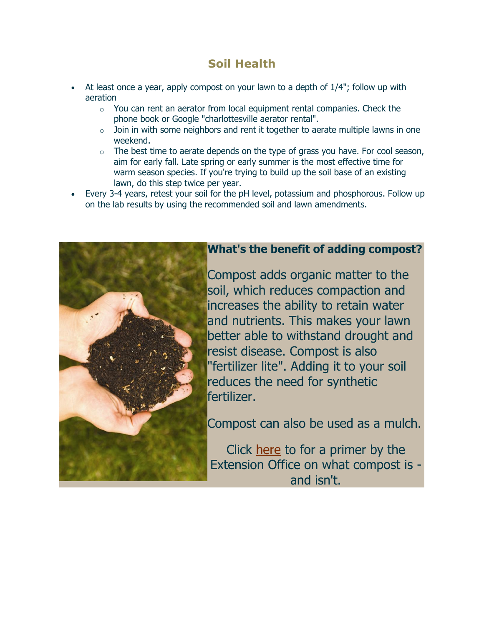## **Soil Health**

- At least once a year, apply compost on your lawn to a depth of 1/4"; follow up with aeration
	- $\circ$  You can rent an aerator from local equipment rental companies. Check the phone book or Google "charlottesville aerator rental".
	- $\circ$  Join in with some neighbors and rent it together to aerate multiple lawns in one weekend.
	- $\circ$  The best time to aerate depends on the type of grass you have. For cool season, aim for early fall. Late spring or early summer is the most effective time for warm season species. If you're trying to build up the soil base of an existing lawn, do this step twice per year.
- Every 3-4 years, retest your soil for the pH level, potassium and phosphorous. Follow up on the lab results by using the recommended soil and lawn amendments.



## **What's the benefit of adding compost?**

Compost adds organic matter to the soil, which reduces compaction and increases the ability to retain water and nutrients. This makes your lawn better able to withstand drought and resist disease. Compost is also "fertilizer lite". Adding it to your soil reduces the need for synthetic fertilizer.

Compost can also be used as a mulch.

Click [here](http://pubs.ext.vt.edu/452/452-231/452-231.html) to for a primer by the Extension Office on what compost is and isn't.